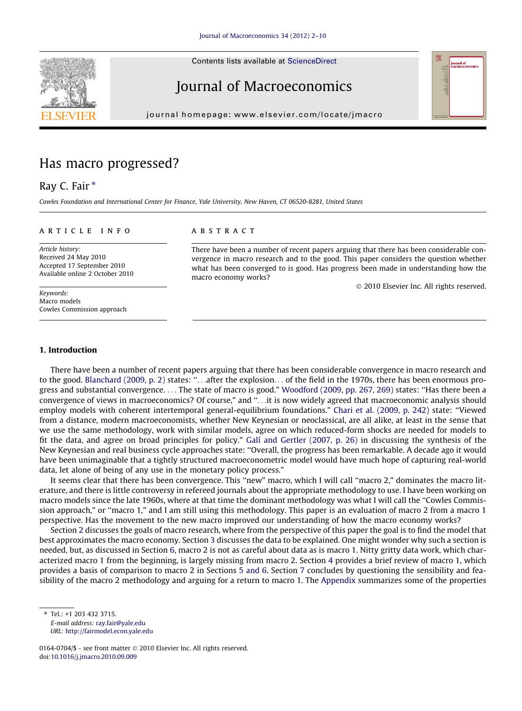Contents lists available at [ScienceDirect](http://www.sciencedirect.com/science/journal/01640704)

# Journal of Macroeconomics

journal homepage: [www.elsevier.com/locate/jmacro](http://www.elsevier.com/locate/jmacro)

## Has macro progressed?

Rav C. Fair $*$ 

Cowles Foundation and International Center for Finance, Yale University, New Haven, CT 06520-8281, United States

#### article info

Article history: Received 24 May 2010 Accepted 17 September 2010 Available online 2 October 2010

Keywords: Macro models Cowles Commission approach

#### ABSTRACT

There have been a number of recent papers arguing that there has been considerable convergence in macro research and to the good. This paper considers the question whether what has been converged to is good. Has progress been made in understanding how the macro economy works?

- 2010 Elsevier Inc. All rights reserved.

#### 1. Introduction

There have been a number of recent papers arguing that there has been considerable convergence in macro research and to the good. [Blanchard \(2009, p. 2\)](#page-8-0) states: ''...after the explosion... of the field in the 1970s, there has been enormous progress and substantial convergence. ... The state of macro is good." [Woodford \(2009, pp. 267, 269\)](#page-8-0) states: ''Has there been a convergence of views in macroeconomics? Of course," and ''...it is now widely agreed that macroeconomic analysis should employ models with coherent intertemporal general-equilibrium foundations." [Chari et al. \(2009, p. 242\)](#page-8-0) state: ''Viewed from a distance, modern macroeconomists, whether New Keynesian or neoclassical, are all alike, at least in the sense that we use the same methodology, work with similar models, agree on which reduced-form shocks are needed for models to fit the data, and agree on broad principles for policy." [Galí and Gertler \(2007, p. 26\)](#page-8-0) in discussing the synthesis of the New Keynesian and real business cycle approaches state: ''Overall, the progress has been remarkable. A decade ago it would have been unimaginable that a tightly structured macroeconometric model would have much hope of capturing real-world data, let alone of being of any use in the monetary policy process."

It seems clear that there has been convergence. This ''new" macro, which I will call ''macro 2," dominates the macro literature, and there is little controversy in refereed journals about the appropriate methodology to use. I have been working on macro models since the late 1960s, where at that time the dominant methodology was what I will call the ''Cowles Commission approach," or ''macro 1," and I am still using this methodology. This paper is an evaluation of macro 2 from a macro 1 perspective. Has the movement to the new macro improved our understanding of how the macro economy works?

Section 2 discusses the goals of macro research, where from the perspective of this paper the goal is to find the model that best approximates the macro economy. Section 3 discusses the data to be explained. One might wonder why such a section is needed, but, as discussed in Section 6, macro 2 is not as careful about data as is macro 1. Nitty gritty data work, which characterized macro 1 from the beginning, is largely missing from macro 2. Section 4 provides a brief review of macro 1, which provides a basis of comparison to macro 2 in Sections 5 and 6. Section 7 concludes by questioning the sensibility and feasibility of the macro 2 methodology and arguing for a return to macro 1. The Appendix summarizes some of the properties

⇑ Tel.: +1 203 432 3715. E-mail address: [ray.fair@yale.edu](mailto:ray.fair@yale.edu) URL: <http://fairmodel.econ.yale.edu>





<sup>0164-0704/\$ -</sup> see front matter © 2010 Elsevier Inc. All rights reserved. doi[:10.1016/j.jmacro.2010.09.009](http://dx.doi.org/10.1016/j.jmacro.2010.09.009)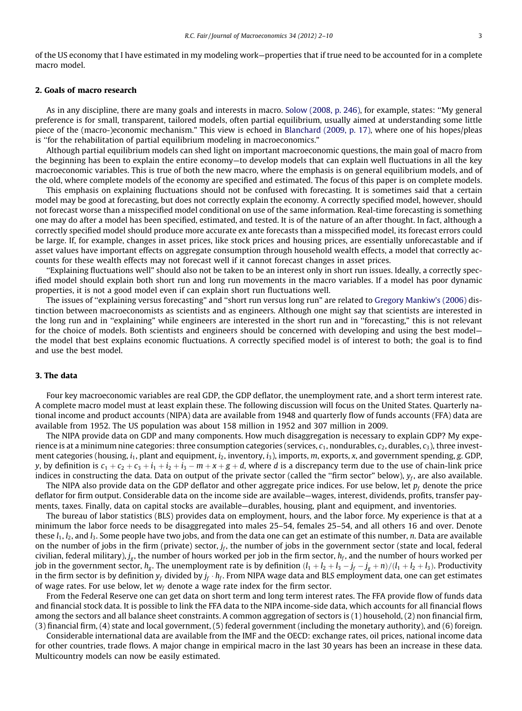#### 2. Goals of macro research

As in any discipline, there are many goals and interests in macro. [Solow \(2008, p. 246\),](#page-8-0) for example, states: ''My general preference is for small, transparent, tailored models, often partial equilibrium, usually aimed at understanding some little piece of the (macro-)economic mechanism." This view is echoed in [Blanchard \(2009, p. 17\)](#page-8-0), where one of his hopes/pleas is ''for the rehabilitation of partial equilibrium modeling in macroeconomics."

Although partial equilibrium models can shed light on important macroeconomic questions, the main goal of macro from the beginning has been to explain the entire economy—to develop models that can explain well fluctuations in all the key macroeconomic variables. This is true of both the new macro, where the emphasis is on general equilibrium models, and of the old, where complete models of the economy are specified and estimated. The focus of this paper is on complete models.

This emphasis on explaining fluctuations should not be confused with forecasting. It is sometimes said that a certain model may be good at forecasting, but does not correctly explain the economy. A correctly specified model, however, should not forecast worse than a misspecified model conditional on use of the same information. Real-time forecasting is something one may do after a model has been specified, estimated, and tested. It is of the nature of an after thought. In fact, although a correctly specified model should produce more accurate ex ante forecasts than a misspecified model, its forecast errors could be large. If, for example, changes in asset prices, like stock prices and housing prices, are essentially unforecastable and if asset values have important effects on aggregate consumption through household wealth effects, a model that correctly accounts for these wealth effects may not forecast well if it cannot forecast changes in asset prices.

''Explaining fluctuations well" should also not be taken to be an interest only in short run issues. Ideally, a correctly specified model should explain both short run and long run movements in the macro variables. If a model has poor dynamic properties, it is not a good model even if can explain short run fluctuations well.

The issues of ''explaining versus forecasting" and ''short run versus long run" are related to [Gregory Mankiw's \(2006\)](#page-8-0) distinction between macroeconomists as scientists and as engineers. Although one might say that scientists are interested in the long run and in ''explaining" while engineers are interested in the short run and in ''forecasting," this is not relevant for the choice of models. Both scientists and engineers should be concerned with developing and using the best model the model that best explains economic fluctuations. A correctly specified model is of interest to both; the goal is to find and use the best model.

## 3. The data

Four key macroeconomic variables are real GDP, the GDP deflator, the unemployment rate, and a short term interest rate. A complete macro model must at least explain these. The following discussion will focus on the United States. Quarterly national income and product accounts (NIPA) data are available from 1948 and quarterly flow of funds accounts (FFA) data are available from 1952. The US population was about 158 million in 1952 and 307 million in 2009.

The NIPA provide data on GDP and many components. How much disaggregation is necessary to explain GDP? My experience is at a minimum nine categories: three consumption categories (services,  $c_1$ , nondurables,  $c_2$ , durables,  $c_3$ ), three investment categories (housing,  $i_1$ , plant and equipment,  $i_2$ , inventory,  $i_3$ ), imports, m, exports, x, and government spending, g. GDP, y, by definition is  $c_1+c_2+c_3+i_1+i_2+i_3-m+x+g+d,$  where  $d$  is a discrepancy term due to the use of chain-link price indices in constructing the data. Data on output of the private sector (called the "firm sector" below),  $y_f$ , are also available.

The NIPA also provide data on the GDP deflator and other aggregate price indices. For use below, let  $p_f$  denote the price deflator for firm output. Considerable data on the income side are available—wages, interest, dividends, profits, transfer payments, taxes. Finally, data on capital stocks are available—durables, housing, plant and equipment, and inventories.

The bureau of labor statistics (BLS) provides data on employment, hours, and the labor force. My experience is that at a minimum the labor force needs to be disaggregated into males 25–54, females 25–54, and all others 16 and over. Denote these  $l_1$ ,  $l_2$ , and  $l_3$ . Some people have two jobs, and from the data one can get an estimate of this number, n. Data are available on the number of jobs in the firm (private) sector,  $j_f$ , the number of jobs in the government sector (state and local, federal civilian, federal military),  $j_g$ , the number of hours worked per job in the firm sector,  $h_f$ , and the number of hours worked per job in the government sector,  $h_{\rm g}$ . The unemployment rate is by definition  $(l_1+l_2+l_3-j_f-j_{\rm g}+n)/(l_1+l_2+l_3)$ . Productivity in the firm sector is by definition  $y_f$  divided by  $j_f \cdot h_f$ . From NIPA wage data and BLS employment data, one can get estimates of wage rates. For use below, let  $w_f$  denote a wage rate index for the firm sector.

From the Federal Reserve one can get data on short term and long term interest rates. The FFA provide flow of funds data and financial stock data. It is possible to link the FFA data to the NIPA income-side data, which accounts for all financial flows among the sectors and all balance sheet constraints. A common aggregation of sectors is (1) household, (2) non financial firm, (3) financial firm, (4) state and local government, (5) federal government (including the monetary authority), and (6) foreign.

Considerable international data are available from the IMF and the OECD: exchange rates, oil prices, national income data for other countries, trade flows. A major change in empirical macro in the last 30 years has been an increase in these data. Multicountry models can now be easily estimated.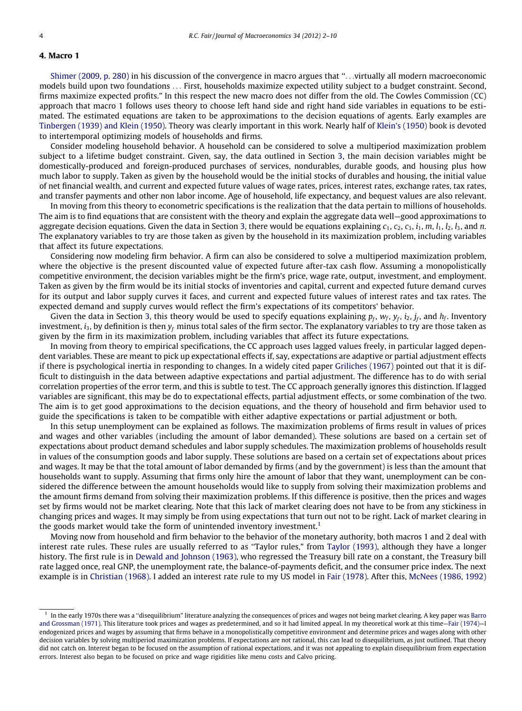### 4. Macro 1

[Shimer \(2009, p. 280\)](#page-8-0) in his discussion of the convergence in macro argues that ''...virtually all modern macroeconomic models build upon two foundations ... First, households maximize expected utility subject to a budget constraint. Second, firms maximize expected profits." In this respect the new macro does not differ from the old. The Cowles Commission (CC) approach that macro 1 follows uses theory to choose left hand side and right hand side variables in equations to be estimated. The estimated equations are taken to be approximations to the decision equations of agents. Early examples are [Tinbergen \(1939\) and Klein \(1950\).](#page-8-0) Theory was clearly important in this work. Nearly half of [Klein's \(1950\)](#page-8-0) book is devoted to intertemporal optimizing models of households and firms.

Consider modeling household behavior. A household can be considered to solve a multiperiod maximization problem subject to a lifetime budget constraint. Given, say, the data outlined in Section 3, the main decision variables might be domestically-produced and foreign-produced purchases of services, nondurables, durable goods, and housing plus how much labor to supply. Taken as given by the household would be the initial stocks of durables and housing, the initial value of net financial wealth, and current and expected future values of wage rates, prices, interest rates, exchange rates, tax rates, and transfer payments and other non labor income. Age of household, life expectancy, and bequest values are also relevant.

In moving from this theory to econometric specifications is the realization that the data pertain to millions of households. The aim is to find equations that are consistent with the theory and explain the aggregate data well—good approximations to aggregate decision equations. Given the data in Section 3, there would be equations explaining  $c_1$ ,  $c_2$ ,  $c_3$ ,  $i_1$ ,  $m$ ,  $l_1$ ,  $l_2$ ,  $l_3$ , and  $n$ . The explanatory variables to try are those taken as given by the household in its maximization problem, including variables that affect its future expectations.

Considering now modeling firm behavior. A firm can also be considered to solve a multiperiod maximization problem, where the objective is the present discounted value of expected future after-tax cash flow. Assuming a monopolistically competitive environment, the decision variables might be the firm's price, wage rate, output, investment, and employment. Taken as given by the firm would be its initial stocks of inventories and capital, current and expected future demand curves for its output and labor supply curves it faces, and current and expected future values of interest rates and tax rates. The expected demand and supply curves would reflect the firm's expectations of its competitors' behavior.

Given the data in Section 3, this theory would be used to specify equations explaining  $p_f$ ,  $w_f$ ,  $y_f$ ,  $i_2$ ,  $j_f$ , and  $h_f$ . Inventory investment,  $i_3$ , by definition is then  $y_f$  minus total sales of the firm sector. The explanatory variables to try are those taken as given by the firm in its maximization problem, including variables that affect its future expectations.

In moving from theory to empirical specifications, the CC approach uses lagged values freely, in particular lagged dependent variables. These are meant to pick up expectational effects if, say, expectations are adaptive or partial adjustment effects if there is psychological inertia in responding to changes. In a widely cited paper [Griliches \(1967\)](#page-8-0) pointed out that it is difficult to distinguish in the data between adaptive expectations and partial adjustment. The difference has to do with serial correlation properties of the error term, and this is subtle to test. The CC approach generally ignores this distinction. If lagged variables are significant, this may be do to expectational effects, partial adjustment effects, or some combination of the two. The aim is to get good approximations to the decision equations, and the theory of household and firm behavior used to guide the specifications is taken to be compatible with either adaptive expectations or partial adjustment or both.

In this setup unemployment can be explained as follows. The maximization problems of firms result in values of prices and wages and other variables (including the amount of labor demanded). These solutions are based on a certain set of expectations about product demand schedules and labor supply schedules. The maximization problems of households result in values of the consumption goods and labor supply. These solutions are based on a certain set of expectations about prices and wages. It may be that the total amount of labor demanded by firms (and by the government) is less than the amount that households want to supply. Assuming that firms only hire the amount of labor that they want, unemployment can be considered the difference between the amount households would like to supply from solving their maximization problems and the amount firms demand from solving their maximization problems. If this difference is positive, then the prices and wages set by firms would not be market clearing. Note that this lack of market clearing does not have to be from any stickiness in changing prices and wages. It may simply be from using expectations that turn out not to be right. Lack of market clearing in the goods market would take the form of unintended inventory investment.<sup>1</sup>

Moving now from household and firm behavior to the behavior of the monetary authority, both macros 1 and 2 deal with interest rate rules. These rules are usually referred to as ''Taylor rules," from [Taylor \(1993\)](#page-8-0), although they have a longer history. The first rule is in [Dewald and Johnson \(1963\),](#page-8-0) who regressed the Treasury bill rate on a constant, the Treasury bill rate lagged once, real GNP, the unemployment rate, the balance-of-payments deficit, and the consumer price index. The next example is in [Christian \(1968\).](#page-8-0) I added an interest rate rule to my US model in [Fair \(1978\).](#page-8-0) After this, [McNees \(1986, 1992\)](#page-8-0)

In the early 1970s there was a "disequilibrium" literature analyzing the consequences of prices and wages not being market clearing. A key paper was [Barro](#page-8-0) [and Grossman \(1971\).](#page-8-0) This literature took prices and wages as predetermined, and so it had limited appeal. In my theoretical work at this time—[Fair \(1974\)](#page-8-0)—I endogenized prices and wages by assuming that firms behave in a monopolistically competitive environment and determine prices and wages along with other decision variables by solving multiperiod maximization problems. If expectations are not rational, this can lead to disequilibrium, as just outlined. That theory did not catch on. Interest began to be focused on the assumption of rational expectations, and it was not appealing to explain disequilibrium from expectation errors. Interest also began to be focused on price and wage rigidities like menu costs and Calvo pricing.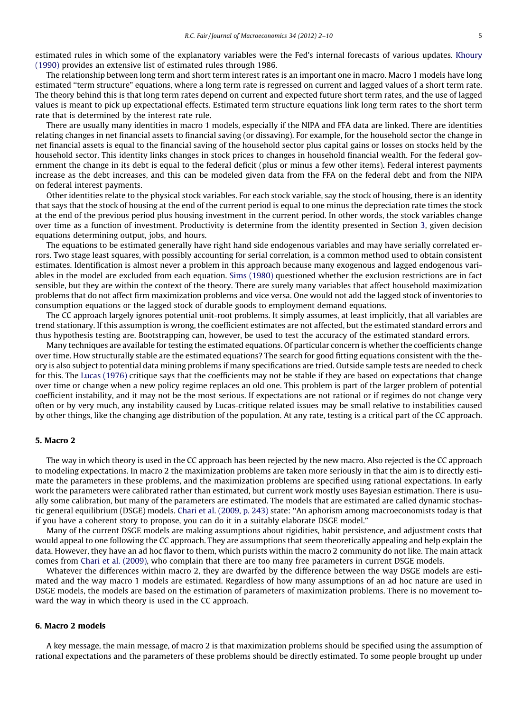estimated rules in which some of the explanatory variables were the Fed's internal forecasts of various updates. [Khoury](#page-8-0) [\(1990\)](#page-8-0) provides an extensive list of estimated rules through 1986.

The relationship between long term and short term interest rates is an important one in macro. Macro 1 models have long estimated ''term structure" equations, where a long term rate is regressed on current and lagged values of a short term rate. The theory behind this is that long term rates depend on current and expected future short term rates, and the use of lagged values is meant to pick up expectational effects. Estimated term structure equations link long term rates to the short term rate that is determined by the interest rate rule.

There are usually many identities in macro 1 models, especially if the NIPA and FFA data are linked. There are identities relating changes in net financial assets to financial saving (or dissaving). For example, for the household sector the change in net financial assets is equal to the financial saving of the household sector plus capital gains or losses on stocks held by the household sector. This identity links changes in stock prices to changes in household financial wealth. For the federal government the change in its debt is equal to the federal deficit (plus or minus a few other items). Federal interest payments increase as the debt increases, and this can be modeled given data from the FFA on the federal debt and from the NIPA on federal interest payments.

Other identities relate to the physical stock variables. For each stock variable, say the stock of housing, there is an identity that says that the stock of housing at the end of the current period is equal to one minus the depreciation rate times the stock at the end of the previous period plus housing investment in the current period. In other words, the stock variables change over time as a function of investment. Productivity is determine from the identity presented in Section 3, given decision equations determining output, jobs, and hours.

The equations to be estimated generally have right hand side endogenous variables and may have serially correlated errors. Two stage least squares, with possibly accounting for serial correlation, is a common method used to obtain consistent estimates. Identification is almost never a problem in this approach because many exogenous and lagged endogenous variables in the model are excluded from each equation. [Sims \(1980\)](#page-8-0) questioned whether the exclusion restrictions are in fact sensible, but they are within the context of the theory. There are surely many variables that affect household maximization problems that do not affect firm maximization problems and vice versa. One would not add the lagged stock of inventories to consumption equations or the lagged stock of durable goods to employment demand equations.

The CC approach largely ignores potential unit-root problems. It simply assumes, at least implicitly, that all variables are trend stationary. If this assumption is wrong, the coefficient estimates are not affected, but the estimated standard errors and thus hypothesis testing are. Bootstrapping can, however, be used to test the accuracy of the estimated standard errors.

Many techniques are available for testing the estimated equations. Of particular concern is whether the coefficients change over time. How structurally stable are the estimated equations? The search for good fitting equations consistent with the theory is also subject to potential data mining problems if many specifications are tried. Outside sample tests are needed to check for this. The [Lucas \(1976\)](#page-8-0) critique says that the coefficients may not be stable if they are based on expectations that change over time or change when a new policy regime replaces an old one. This problem is part of the larger problem of potential coefficient instability, and it may not be the most serious. If expectations are not rational or if regimes do not change very often or by very much, any instability caused by Lucas-critique related issues may be small relative to instabilities caused by other things, like the changing age distribution of the population. At any rate, testing is a critical part of the CC approach.

#### 5. Macro 2

The way in which theory is used in the CC approach has been rejected by the new macro. Also rejected is the CC approach to modeling expectations. In macro 2 the maximization problems are taken more seriously in that the aim is to directly estimate the parameters in these problems, and the maximization problems are specified using rational expectations. In early work the parameters were calibrated rather than estimated, but current work mostly uses Bayesian estimation. There is usually some calibration, but many of the parameters are estimated. The models that are estimated are called dynamic stochastic general equilibrium (DSGE) models. [Chari et al. \(2009, p. 243\)](#page-8-0) state: ''An aphorism among macroeconomists today is that if you have a coherent story to propose, you can do it in a suitably elaborate DSGE model."

Many of the current DSGE models are making assumptions about rigidities, habit persistence, and adjustment costs that would appeal to one following the CC approach. They are assumptions that seem theoretically appealing and help explain the data. However, they have an ad hoc flavor to them, which purists within the macro 2 community do not like. The main attack comes from [Chari et al. \(2009\)](#page-8-0), who complain that there are too many free parameters in current DSGE models.

Whatever the differences within macro 2, they are dwarfed by the difference between the way DSGE models are estimated and the way macro 1 models are estimated. Regardless of how many assumptions of an ad hoc nature are used in DSGE models, the models are based on the estimation of parameters of maximization problems. There is no movement toward the way in which theory is used in the CC approach.

#### 6. Macro 2 models

A key message, the main message, of macro 2 is that maximization problems should be specified using the assumption of rational expectations and the parameters of these problems should be directly estimated. To some people brought up under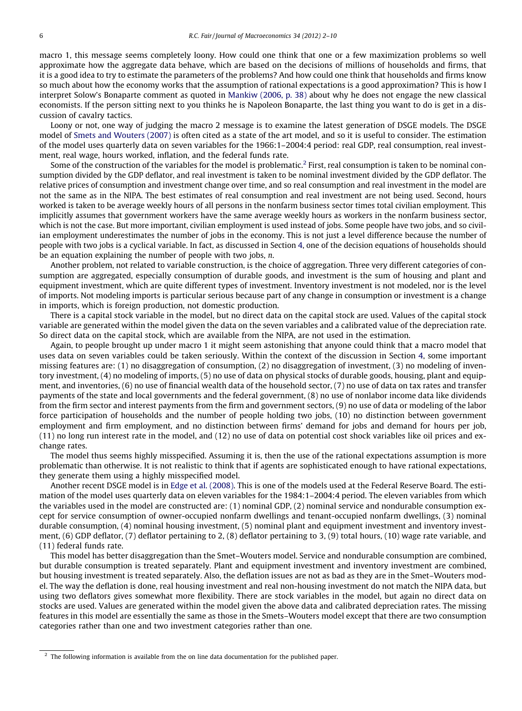macro 1, this message seems completely loony. How could one think that one or a few maximization problems so well approximate how the aggregate data behave, which are based on the decisions of millions of households and firms, that it is a good idea to try to estimate the parameters of the problems? And how could one think that households and firms know so much about how the economy works that the assumption of rational expectations is a good approximation? This is how I interpret Solow's Bonaparte comment as quoted in [Mankiw \(2006, p. 38\)](#page-8-0) about why he does not engage the new classical economists. If the person sitting next to you thinks he is Napoleon Bonaparte, the last thing you want to do is get in a discussion of cavalry tactics.

Loony or not, one way of judging the macro 2 message is to examine the latest generation of DSGE models. The DSGE model of [Smets and Wouters \(2007\)](#page-8-0) is often cited as a state of the art model, and so it is useful to consider. The estimation of the model uses quarterly data on seven variables for the 1966:1–2004:4 period: real GDP, real consumption, real investment, real wage, hours worked, inflation, and the federal funds rate.

Some of the construction of the variables for the model is problematic.<sup>2</sup> First, real consumption is taken to be nominal consumption divided by the GDP deflator, and real investment is taken to be nominal investment divided by the GDP deflator. The relative prices of consumption and investment change over time, and so real consumption and real investment in the model are not the same as in the NIPA. The best estimates of real consumption and real investment are not being used. Second, hours worked is taken to be average weekly hours of all persons in the nonfarm business sector times total civilian employment. This implicitly assumes that government workers have the same average weekly hours as workers in the nonfarm business sector, which is not the case. But more important, civilian employment is used instead of jobs. Some people have two jobs, and so civilian employment underestimates the number of jobs in the economy. This is not just a level difference because the number of people with two jobs is a cyclical variable. In fact, as discussed in Section 4, one of the decision equations of households should be an equation explaining the number of people with two jobs, *n*.

Another problem, not related to variable construction, is the choice of aggregation. Three very different categories of consumption are aggregated, especially consumption of durable goods, and investment is the sum of housing and plant and equipment investment, which are quite different types of investment. Inventory investment is not modeled, nor is the level of imports. Not modeling imports is particular serious because part of any change in consumption or investment is a change in imports, which is foreign production, not domestic production.

There is a capital stock variable in the model, but no direct data on the capital stock are used. Values of the capital stock variable are generated within the model given the data on the seven variables and a calibrated value of the depreciation rate. So direct data on the capital stock, which are available from the NIPA, are not used in the estimation.

Again, to people brought up under macro 1 it might seem astonishing that anyone could think that a macro model that uses data on seven variables could be taken seriously. Within the context of the discussion in Section 4, some important missing features are: (1) no disaggregation of consumption, (2) no disaggregation of investment, (3) no modeling of inventory investment, (4) no modeling of imports, (5) no use of data on physical stocks of durable goods, housing, plant and equipment, and inventories, (6) no use of financial wealth data of the household sector, (7) no use of data on tax rates and transfer payments of the state and local governments and the federal government, (8) no use of nonlabor income data like dividends from the firm sector and interest payments from the firm and government sectors, (9) no use of data or modeling of the labor force participation of households and the number of people holding two jobs, (10) no distinction between government employment and firm employment, and no distinction between firms' demand for jobs and demand for hours per job, (11) no long run interest rate in the model, and (12) no use of data on potential cost shock variables like oil prices and exchange rates.

The model thus seems highly misspecified. Assuming it is, then the use of the rational expectations assumption is more problematic than otherwise. It is not realistic to think that if agents are sophisticated enough to have rational expectations, they generate them using a highly misspecified model.

Another recent DSGE model is in [Edge et al. \(2008\).](#page-8-0) This is one of the models used at the Federal Reserve Board. The estimation of the model uses quarterly data on eleven variables for the 1984:1–2004:4 period. The eleven variables from which the variables used in the model are constructed are: (1) nominal GDP, (2) nominal service and nondurable consumption except for service consumption of owner-occupied nonfarm dwellings and tenant-occupied nonfarm dwellings, (3) nominal durable consumption, (4) nominal housing investment, (5) nominal plant and equipment investment and inventory investment, (6) GDP deflator, (7) deflator pertaining to 2, (8) deflator pertaining to 3, (9) total hours, (10) wage rate variable, and (11) federal funds rate.

This model has better disaggregation than the Smet–Wouters model. Service and nondurable consumption are combined, but durable consumption is treated separately. Plant and equipment investment and inventory investment are combined, but housing investment is treated separately. Also, the deflation issues are not as bad as they are in the Smet–Wouters model. The way the deflation is done, real housing investment and real non-housing investment do not match the NIPA data, but using two deflators gives somewhat more flexibility. There are stock variables in the model, but again no direct data on stocks are used. Values are generated within the model given the above data and calibrated depreciation rates. The missing features in this model are essentially the same as those in the Smets–Wouters model except that there are two consumption categories rather than one and two investment categories rather than one.

 $2\degree$  The following information is available from the on line data documentation for the published paper.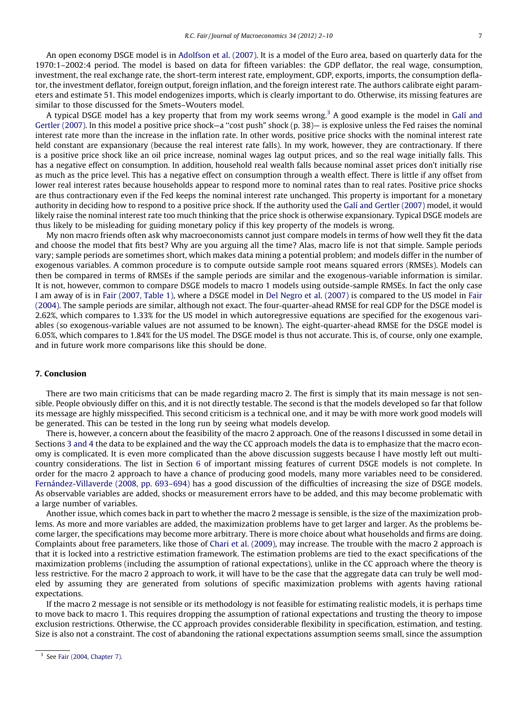An open economy DSGE model is in [Adolfson et al. \(2007\).](#page-8-0) It is a model of the Euro area, based on quarterly data for the 1970:1–2002:4 period. The model is based on data for fifteen variables: the GDP deflator, the real wage, consumption, investment, the real exchange rate, the short-term interest rate, employment, GDP, exports, imports, the consumption deflator, the investment deflator, foreign output, foreign inflation, and the foreign interest rate. The authors calibrate eight parameters and estimate 51. This model endogenizes imports, which is clearly important to do. Otherwise, its missing features are similar to those discussed for the Smets–Wouters model.

A typical DSGE model has a key property that from my work seems wrong.<sup>3</sup> A good example is the model in [Galí and](#page-8-0) [Gertler \(2007\)](#page-8-0). In this model a positive price shock—a ''cost push" shock (p. 38)— is explosive unless the Fed raises the nominal interest rate more than the increase in the inflation rate. In other words, positive price shocks with the nominal interest rate held constant are expansionary (because the real interest rate falls). In my work, however, they are contractionary. If there is a positive price shock like an oil price increase, nominal wages lag output prices, and so the real wage initially falls. This has a negative effect on consumption. In addition, household real wealth falls because nominal asset prices don't initially rise as much as the price level. This has a negative effect on consumption through a wealth effect. There is little if any offset from lower real interest rates because households appear to respond more to nominal rates than to real rates. Positive price shocks are thus contractionary even if the Fed keeps the nominal interest rate unchanged. This property is important for a monetary authority in deciding how to respond to a positive price shock. If the authority used the [Galí and Gertler \(2007\)](#page-8-0) model, it would likely raise the nominal interest rate too much thinking that the price shock is otherwise expansionary. Typical DSGE models are thus likely to be misleading for guiding monetary policy if this key property of the models is wrong.

My non macro friends often ask why macroeconomists cannot just compare models in terms of how well they fit the data and choose the model that fits best? Why are you arguing all the time? Alas, macro life is not that simple. Sample periods vary; sample periods are sometimes short, which makes data mining a potential problem; and models differ in the number of exogenous variables. A common procedure is to compute outside sample root means squared errors (RMSEs). Models can then be compared in terms of RMSEs if the sample periods are similar and the exogenous-variable information is similar. It is not, however, common to compare DSGE models to macro 1 models using outside-sample RMSEs. In fact the only case I am away of is in [Fair \(2007, Table 1\),](#page-8-0) where a DSGE model in [Del Negro et al. \(2007\)](#page-8-0) is compared to the US model in [Fair](#page-8-0) [\(2004\).](#page-8-0) The sample periods are similar, although not exact. The four-quarter-ahead RMSE for real GDP for the DSGE model is 2.62%, which compares to 1.33% for the US model in which autoregressive equations are specified for the exogenous variables (so exogenous-variable values are not assumed to be known). The eight-quarter-ahead RMSE for the DSGE model is 6.05%, which compares to 1.84% for the US model. The DSGE model is thus not accurate. This is, of course, only one example, and in future work more comparisons like this should be done.

## 7. Conclusion

There are two main criticisms that can be made regarding macro 2. The first is simply that its main message is not sensible. People obviously differ on this, and it is not directly testable. The second is that the models developed so far that follow its message are highly misspecified. This second criticism is a technical one, and it may be with more work good models will be generated. This can be tested in the long run by seeing what models develop.

There is, however, a concern about the feasibility of the macro 2 approach. One of the reasons I discussed in some detail in Sections 3 and 4 the data to be explained and the way the CC approach models the data is to emphasize that the macro economy is complicated. It is even more complicated than the above discussion suggests because I have mostly left out multicountry considerations. The list in Section 6 of important missing features of current DSGE models is not complete. In order for the macro 2 approach to have a chance of producing good models, many more variables need to be considered. [Fernández-Villaverde \(2008, pp. 693–694\)](#page-8-0) has a good discussion of the difficulties of increasing the size of DSGE models. As observable variables are added, shocks or measurement errors have to be added, and this may become problematic with a large number of variables.

Another issue, which comes back in part to whether the macro 2 message is sensible, is the size of the maximization problems. As more and more variables are added, the maximization problems have to get larger and larger. As the problems become larger, the specifications may become more arbitrary. There is more choice about what households and firms are doing. Complaints about free parameters, like those of [Chari et al. \(2009\)](#page-8-0), may increase. The trouble with the macro 2 approach is that it is locked into a restrictive estimation framework. The estimation problems are tied to the exact specifications of the maximization problems (including the assumption of rational expectations), unlike in the CC approach where the theory is less restrictive. For the macro 2 approach to work, it will have to be the case that the aggregate data can truly be well modeled by assuming they are generated from solutions of specific maximization problems with agents having rational expectations.

If the macro 2 message is not sensible or its methodology is not feasible for estimating realistic models, it is perhaps time to move back to macro 1. This requires dropping the assumption of rational expectations and trusting the theory to impose exclusion restrictions. Otherwise, the CC approach provides considerable flexibility in specification, estimation, and testing. Size is also not a constraint. The cost of abandoning the rational expectations assumption seems small, since the assumption

 $3$  See [Fair \(2004, Chapter 7\)](#page-8-0).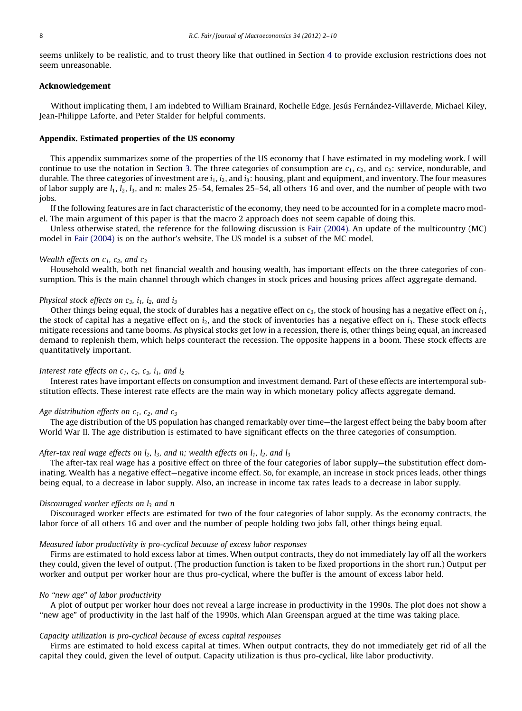seems unlikely to be realistic, and to trust theory like that outlined in Section 4 to provide exclusion restrictions does not seem unreasonable.

## Acknowledgement

Without implicating them, I am indebted to William Brainard, Rochelle Edge, Jesús Fernández-Villaverde, Michael Kiley, Jean-Philippe Laforte, and Peter Stalder for helpful comments.

#### Appendix. Estimated properties of the US economy

This appendix summarizes some of the properties of the US economy that I have estimated in my modeling work. I will continue to use the notation in Section 3. The three categories of consumption are  $c_1$ ,  $c_2$ , and  $c_3$ : service, nondurable, and durable. The three categories of investment are  $i_1$ ,  $i_2$ , and  $i_3$ : housing, plant and equipment, and inventory. The four measures of labor supply are  $l_1$ ,  $l_2$ ,  $l_3$ , and n: males 25–54, females 25–54, all others 16 and over, and the number of people with two iobs.

If the following features are in fact characteristic of the economy, they need to be accounted for in a complete macro model. The main argument of this paper is that the macro 2 approach does not seem capable of doing this.

Unless otherwise stated, the reference for the following discussion is [Fair \(2004\)](#page-8-0). An update of the multicountry (MC) model in [Fair \(2004\)](#page-8-0) is on the author's website. The US model is a subset of the MC model.

## Wealth effects on  $c_1$ ,  $c_2$ , and  $c_3$

Household wealth, both net financial wealth and housing wealth, has important effects on the three categories of consumption. This is the main channel through which changes in stock prices and housing prices affect aggregate demand.

#### Physical stock effects on  $c_3$ ,  $i_1$ ,  $i_2$ , and  $i_3$

Other things being equal, the stock of durables has a negative effect on  $c_3$ , the stock of housing has a negative effect on  $i_1$ , the stock of capital has a negative effect on  $i_2$ , and the stock of inventories has a negative effect on  $i_3$ . These stock effects mitigate recessions and tame booms. As physical stocks get low in a recession, there is, other things being equal, an increased demand to replenish them, which helps counteract the recession. The opposite happens in a boom. These stock effects are quantitatively important.

## Interest rate effects on  $c_1$ ,  $c_2$ ,  $c_3$ ,  $i_1$ , and  $i_2$

Interest rates have important effects on consumption and investment demand. Part of these effects are intertemporal substitution effects. These interest rate effects are the main way in which monetary policy affects aggregate demand.

#### Age distribution effects on  $c_1$ ,  $c_2$ , and  $c_3$

The age distribution of the US population has changed remarkably over time—the largest effect being the baby boom after World War II. The age distribution is estimated to have significant effects on the three categories of consumption.

#### After-tax real wage effects on  $l_2$ ,  $l_3$ , and n; wealth effects on  $l_1$ ,  $l_2$ , and  $l_3$

The after-tax real wage has a positive effect on three of the four categories of labor supply—the substitution effect dominating. Wealth has a negative effect—negative income effect. So, for example, an increase in stock prices leads, other things being equal, to a decrease in labor supply. Also, an increase in income tax rates leads to a decrease in labor supply.

#### Discouraged worker effects on  $l_3$  and n

Discouraged worker effects are estimated for two of the four categories of labor supply. As the economy contracts, the labor force of all others 16 and over and the number of people holding two jobs fall, other things being equal.

#### Measured labor productivity is pro-cyclical because of excess labor responses

Firms are estimated to hold excess labor at times. When output contracts, they do not immediately lay off all the workers they could, given the level of output. (The production function is taken to be fixed proportions in the short run.) Output per worker and output per worker hour are thus pro-cyclical, where the buffer is the amount of excess labor held.

#### No ''new age" of labor productivity

A plot of output per worker hour does not reveal a large increase in productivity in the 1990s. The plot does not show a ''new age" of productivity in the last half of the 1990s, which Alan Greenspan argued at the time was taking place.

### Capacity utilization is pro-cyclical because of excess capital responses

Firms are estimated to hold excess capital at times. When output contracts, they do not immediately get rid of all the capital they could, given the level of output. Capacity utilization is thus pro-cyclical, like labor productivity.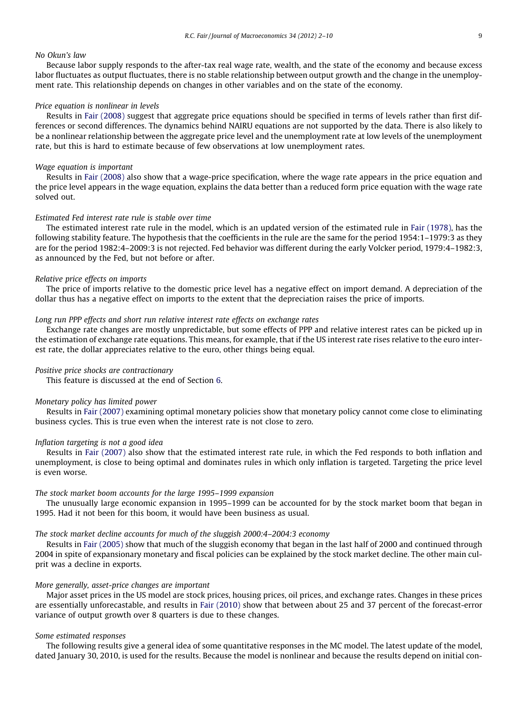## No Okun's law

Because labor supply responds to the after-tax real wage rate, wealth, and the state of the economy and because excess labor fluctuates as output fluctuates, there is no stable relationship between output growth and the change in the unemployment rate. This relationship depends on changes in other variables and on the state of the economy.

#### Price equation is nonlinear in levels

Results in [Fair \(2008\)](#page-8-0) suggest that aggregate price equations should be specified in terms of levels rather than first differences or second differences. The dynamics behind NAIRU equations are not supported by the data. There is also likely to be a nonlinear relationship between the aggregate price level and the unemployment rate at low levels of the unemployment rate, but this is hard to estimate because of few observations at low unemployment rates.

#### Wage equation is important

Results in [Fair \(2008\)](#page-8-0) also show that a wage-price specification, where the wage rate appears in the price equation and the price level appears in the wage equation, explains the data better than a reduced form price equation with the wage rate solved out.

## Estimated Fed interest rate rule is stable over time

The estimated interest rate rule in the model, which is an updated version of the estimated rule in [Fair \(1978\),](#page-8-0) has the following stability feature. The hypothesis that the coefficients in the rule are the same for the period 1954:1–1979:3 as they are for the period 1982:4–2009:3 is not rejected. Fed behavior was different during the early Volcker period, 1979:4–1982:3, as announced by the Fed, but not before or after.

#### Relative price effects on imports

The price of imports relative to the domestic price level has a negative effect on import demand. A depreciation of the dollar thus has a negative effect on imports to the extent that the depreciation raises the price of imports.

## Long run PPP effects and short run relative interest rate effects on exchange rates

Exchange rate changes are mostly unpredictable, but some effects of PPP and relative interest rates can be picked up in the estimation of exchange rate equations. This means, for example, that if the US interest rate rises relative to the euro interest rate, the dollar appreciates relative to the euro, other things being equal.

#### Positive price shocks are contractionary

This feature is discussed at the end of Section 6.

### Monetary policy has limited power

Results in [Fair \(2007\)](#page-8-0) examining optimal monetary policies show that monetary policy cannot come close to eliminating business cycles. This is true even when the interest rate is not close to zero.

#### Inflation targeting is not a good idea

Results in [Fair \(2007\)](#page-8-0) also show that the estimated interest rate rule, in which the Fed responds to both inflation and unemployment, is close to being optimal and dominates rules in which only inflation is targeted. Targeting the price level is even worse.

#### The stock market boom accounts for the large 1995–1999 expansion

The unusually large economic expansion in 1995–1999 can be accounted for by the stock market boom that began in 1995. Had it not been for this boom, it would have been business as usual.

#### The stock market decline accounts for much of the sluggish 2000:4–2004:3 economy

Results in [Fair \(2005\)](#page-8-0) show that much of the sluggish economy that began in the last half of 2000 and continued through 2004 in spite of expansionary monetary and fiscal policies can be explained by the stock market decline. The other main culprit was a decline in exports.

#### More generally, asset-price changes are important

Major asset prices in the US model are stock prices, housing prices, oil prices, and exchange rates. Changes in these prices are essentially unforecastable, and results in [Fair \(2010\)](#page-8-0) show that between about 25 and 37 percent of the forecast-error variance of output growth over 8 quarters is due to these changes.

#### Some estimated responses

The following results give a general idea of some quantitative responses in the MC model. The latest update of the model, dated January 30, 2010, is used for the results. Because the model is nonlinear and because the results depend on initial con